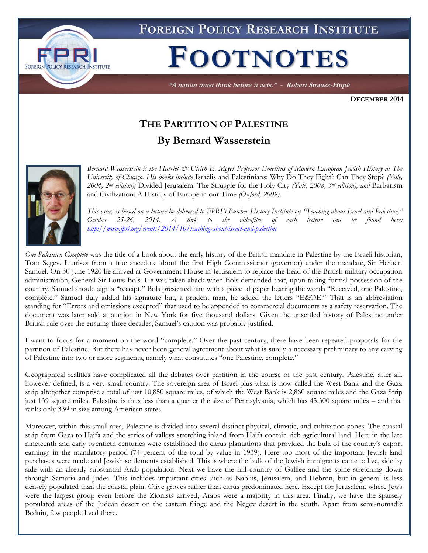

**FOREIGN POLICY RESEARCH INSTITUTE** 

## **FOOTNOTES**

"A nation must think before it acts." - Robert Strausz-Hupé

**DECEMBER 2014**

## **THE PARTITION OF PALESTINE By Bernard Wasserstein**



*Bernard Wasserstein is the Harriet & Ulrich E. Meyer Professor Emeritus of Modern European Jewish History at The University of Chicago. His books include* Israelis and Palestinians: Why Do They Fight? Can They Stop? *(Yale, 2004, 2nd edition);* Divided Jerusalem: The Struggle for the Holy City *(Yale, 2008, 3rd edition); and* Barbarism and Civilization: A History of Europe in our Time *(Oxford, 2009).* 

*This essay is based on a lecture he delivered to FPRI's Butcher History Institute on "Teaching about Israel and Palestine," October 25-26, 2014. A link to the videofiles of each lecture can be found here: <http://www.fpri.org/events/2014/10/teaching-about-israel-and-palestine>*

*One Palestine, Complete* was the title of a book about the early history of the British mandate in Palestine by the Israeli historian, Tom Segev. It arises from a true anecdote about the first High Commissioner (governor) under the mandate, Sir Herbert Samuel. On 30 June 1920 he arrived at Government House in Jerusalem to replace the head of the British military occupation administration, General Sir Louis Bols. He was taken aback when Bols demanded that, upon taking formal possession of the country, Samuel should sign a "receipt." Bols presented him with a piece of paper bearing the words "Received, one Palestine, complete." Samuel duly added his signature but, a prudent man, he added the letters "E&OE." That is an abbreviation standing for "Errors and omissions excepted" that used to be appended to commercial documents as a safety reservation. The document was later sold at auction in New York for five thousand dollars. Given the unsettled history of Palestine under British rule over the ensuing three decades, Samuel's caution was probably justified.

I want to focus for a moment on the word "complete." Over the past century, there have been repeated proposals for the partition of Palestine. But there has never been general agreement about what is surely a necessary preliminary to any carving of Palestine into two or more segments, namely what constitutes "one Palestine, complete."

Geographical realities have complicated all the debates over partition in the course of the past century. Palestine, after all, however defined, is a very small country. The sovereign area of Israel plus what is now called the West Bank and the Gaza strip altogether comprise a total of just 10,850 square miles, of which the West Bank is 2,860 square miles and the Gaza Strip just 139 square miles. Palestine is thus less than a quarter the size of Pennsylvania, which has 45,300 square miles – and that ranks only 33rd in size among American states.

Moreover, within this small area, Palestine is divided into several distinct physical, climatic, and cultivation zones. The coastal strip from Gaza to Haifa and the series of valleys stretching inland from Haifa contain rich agricultural land. Here in the late nineteenth and early twentieth centuries were established the citrus plantations that provided the bulk of the country's export earnings in the mandatory period (74 percent of the total by value in 1939). Here too most of the important Jewish land purchases were made and Jewish settlements established. This is where the bulk of the Jewish immigrants came to live, side by side with an already substantial Arab population. Next we have the hill country of Galilee and the spine stretching down through Samaria and Judea. This includes important cities such as Nablus, Jerusalem, and Hebron, but in general is less densely populated than the coastal plain. Olive groves rather than citrus predominated here. Except for Jerusalem, where Jews were the largest group even before the Zionists arrived, Arabs were a majority in this area. Finally, we have the sparsely populated areas of the Judean desert on the eastern fringe and the Negev desert in the south. Apart from semi-nomadic Beduin, few people lived there.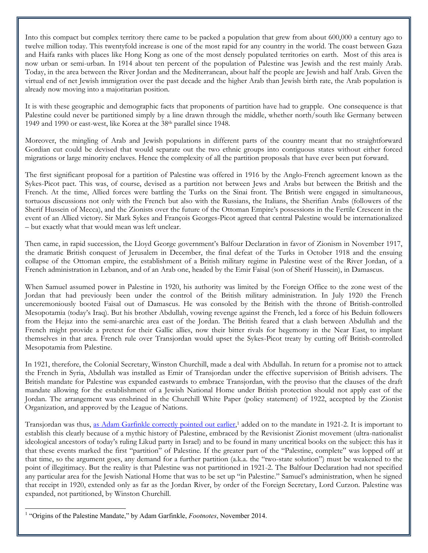Into this compact but complex territory there came to be packed a population that grew from about 600,000 a century ago to twelve million today. This twentyfold increase is one of the most rapid for any country in the world. The coast between Gaza and Haifa ranks with places like Hong Kong as one of the most densely populated territories on earth. Most of this area is now urban or semi-urban. In 1914 about ten percent of the population of Palestine was Jewish and the rest mainly Arab. Today, in the area between the River Jordan and the Mediterranean, about half the people are Jewish and half Arab. Given the virtual end of net Jewish immigration over the past decade and the higher Arab than Jewish birth rate, the Arab population is already now moving into a majoritarian position.

It is with these geographic and demographic facts that proponents of partition have had to grapple. One consequence is that Palestine could never be partitioned simply by a line drawn through the middle, whether north/south like Germany between 1949 and 1990 or east-west, like Korea at the 38<sup>th</sup> parallel since 1948.

Moreover, the mingling of Arab and Jewish populations in different parts of the country meant that no straightforward Gordian cut could be devised that would separate out the two ethnic groups into contiguous states without either forced migrations or large minority enclaves. Hence the complexity of all the partition proposals that have ever been put forward.

The first significant proposal for a partition of Palestine was offered in 1916 by the Anglo-French agreement known as the Sykes-Picot pact. This was, of course, devised as a partition not between Jews and Arabs but between the British and the French. At the time, Allied forces were battling the Turks on the Sinai front. The British were engaged in simultaneous, tortuous discussions not only with the French but also with the Russians, the Italians, the Sherifian Arabs (followers of the Sherif Hussein of Mecca), and the Zionists over the future of the Ottoman Empire's possessions in the Fertile Crescent in the event of an Allied victory. Sir Mark Sykes and François Georges-Picot agreed that central Palestine would be internationalized – but exactly what that would mean was left unclear.

Then came, in rapid succession, the Lloyd George government's Balfour Declaration in favor of Zionism in November 1917, the dramatic British conquest of Jerusalem in December, the final defeat of the Turks in October 1918 and the ensuing collapse of the Ottoman empire, the establishment of a British military regime in Palestine west of the River Jordan, of a French administration in Lebanon, and of an Arab one, headed by the Emir Faisal (son of Sherif Hussein), in Damascus.

When Samuel assumed power in Palestine in 1920, his authority was limited by the Foreign Office to the zone west of the Jordan that had previously been under the control of the British military administration. In July 1920 the French unceremoniously booted Faisal out of Damascus. He was consoled by the British with the throne of British-controlled Mesopotamia (today's Iraq). But his brother Abdullah, vowing revenge against the French, led a force of his Beduin followers from the Hejaz into the semi-anarchic area east of the Jordan. The British feared that a clash between Abdullah and the French might provide a pretext for their Gallic allies, now their bitter rivals for hegemony in the Near East, to implant themselves in that area. French rule over Transjordan would upset the Sykes-Picot treaty by cutting off British-controlled Mesopotamia from Palestine.

In 1921, therefore, the Colonial Secretary, Winston Churchill, made a deal with Abdullah. In return for a promise not to attack the French in Syria, Abdullah was installed as Emir of Transjordan under the effective supervision of British advisers. The British mandate for Palestine was expanded eastwards to embrace Transjordan, with the proviso that the clauses of the draft mandate allowing for the establishment of a Jewish National Home under British protection should not apply east of the Jordan. The arrangement was enshrined in the Churchill White Paper (policy statement) of 1922, accepted by the Zionist Organization, and approved by the League of Nations.

Transjordan was thus, [as Adam Garfinkle correctly pointed out earlier,](http://www.fpri.org/articles/2014/11/origins-palestine-mandate)<sup>1</sup> added on to the mandate in 1921-2. It is important to establish this clearly because of a mythic history of Palestine, embraced by the Revisionist Zionist movement (ultra-nationalist ideological ancestors of today's ruling Likud party in Israel) and to be found in many uncritical books on the subject: this has it that these events marked the first "partition" of Palestine. If the greater part of the "Palestine, complete" was lopped off at that time, so the argument goes, any demand for a further partition (a.k.a. the "two-state solution") must be weakened to the point of illegitimacy. But the reality is that Palestine was not partitioned in 1921-2. The Balfour Declaration had not specified any particular area for the Jewish National Home that was to be set up "in Palestine." Samuel's administration, when he signed that receipt in 1920, extended only as far as the Jordan River, by order of the Foreign Secretary, Lord Curzon. Palestine was expanded, not partitioned, by Winston Churchill.

 $\overline{a}$ 

<sup>&</sup>lt;sup>1</sup> "Origins of the Palestine Mandate," by Adam Garfinkle, *Footnotes*, November 2014.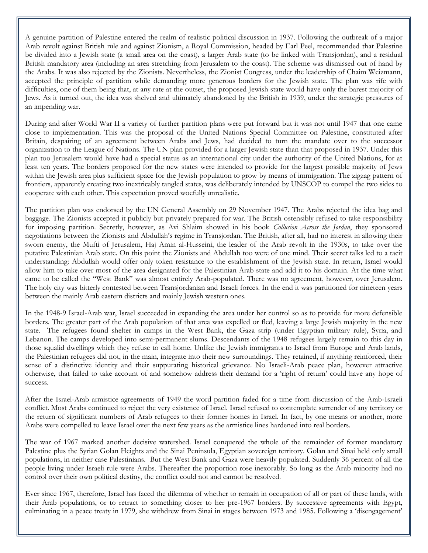A genuine partition of Palestine entered the realm of realistic political discussion in 1937. Following the outbreak of a major Arab revolt against British rule and against Zionism, a Royal Commission, headed by Earl Peel, recommended that Palestine be divided into a Jewish state (a small area on the coast), a larger Arab state (to be linked with Transjordan), and a residual British mandatory area (including an area stretching from Jerusalem to the coast). The scheme was dismissed out of hand by the Arabs. It was also rejected by the Zionists. Nevertheless, the Zionist Congress, under the leadership of Chaim Weizmann, accepted the principle of partition while demanding more generous borders for the Jewish state. The plan was rife with difficulties, one of them being that, at any rate at the outset, the proposed Jewish state would have only the barest majority of Jews. As it turned out, the idea was shelved and ultimately abandoned by the British in 1939, under the strategic pressures of an impending war.

During and after World War II a variety of further partition plans were put forward but it was not until 1947 that one came close to implementation. This was the proposal of the United Nations Special Committee on Palestine, constituted after Britain, despairing of an agreement between Arabs and Jews, had decided to turn the mandate over to the successor organization to the League of Nations. The UN plan provided for a larger Jewish state than that proposed in 1937. Under this plan too Jerusalem would have had a special status as an international city under the authority of the United Nations, for at least ten years. The borders proposed for the new states were intended to provide for the largest possible majority of Jews within the Jewish area plus sufficient space for the Jewish population to grow by means of immigration. The zigzag pattern of frontiers, apparently creating two inextricably tangled states, was deliberately intended by UNSCOP to compel the two sides to cooperate with each other. This expectation proved woefully unrealistic.

The partition plan was endorsed by the UN General Assembly on 29 November 1947. The Arabs rejected the idea bag and baggage. The Zionists accepted it publicly but privately prepared for war. The British ostensibly refused to take responsibility for imposing partition. Secretly, however, as Avi Shlaim showed in his book *Collusion Across the Jordan*, they sponsored negotiations between the Zionists and Abdullah's regime in Transjordan. The British, after all, had no interest in allowing their sworn enemy, the Mufti of Jerusalem, Haj Amin al-Husseini, the leader of the Arab revolt in the 1930s, to take over the putative Palestinian Arab state. On this point the Zionists and Abdullah too were of one mind. Their secret talks led to a tacit understanding: Abdullah would offer only token resistance to the establishment of the Jewish state. In return, Israel would allow him to take over most of the area designated for the Palestinian Arab state and add it to his domain. At the time what came to be called the "West Bank" was almost entirely Arab-populated. There was no agreement, however, over Jerusalem. The holy city was bitterly contested between Transjordanian and Israeli forces. In the end it was partitioned for nineteen years between the mainly Arab eastern districts and mainly Jewish western ones.

In the 1948-9 Israel-Arab war, Israel succeeded in expanding the area under her control so as to provide for more defensible borders. The greater part of the Arab population of that area was expelled or fled, leaving a large Jewish majority in the new state. The refugees found shelter in camps in the West Bank, the Gaza strip (under Egyptian military rule), Syria, and Lebanon. The camps developed into semi-permanent slums. Descendants of the 1948 refugees largely remain to this day in those squalid dwellings which they refuse to call home. Unlike the Jewish immigrants to Israel from Europe and Arab lands, the Palestinian refugees did not, in the main, integrate into their new surroundings. They retained, if anything reinforced, their sense of a distinctive identity and their suppurating historical grievance. No Israeli-Arab peace plan, however attractive otherwise, that failed to take account of and somehow address their demand for a 'right of return' could have any hope of success.

After the Israel-Arab armistice agreements of 1949 the word partition faded for a time from discussion of the Arab-Israeli conflict. Most Arabs continued to reject the very existence of Israel. Israel refused to contemplate surrender of any territory or the return of significant numbers of Arab refugees to their former homes in Israel. In fact, by one means or another, more Arabs were compelled to leave Israel over the next few years as the armistice lines hardened into real borders.

The war of 1967 marked another decisive watershed. Israel conquered the whole of the remainder of former mandatory Palestine plus the Syrian Golan Heights and the Sinai Peninsula, Egyptian sovereign territory. Golan and Sinai held only small populations, in neither case Palestinians. But the West Bank and Gaza were heavily populated. Suddenly 36 percent of all the people living under Israeli rule were Arabs. Thereafter the proportion rose inexorably. So long as the Arab minority had no control over their own political destiny, the conflict could not and cannot be resolved.

Ever since 1967, therefore, Israel has faced the dilemma of whether to remain in occupation of all or part of these lands, with their Arab populations, or to retract to something closer to her pre-1967 borders. By successive agreements with Egypt, culminating in a peace treaty in 1979, she withdrew from Sinai in stages between 1973 and 1985. Following a 'disengagement'